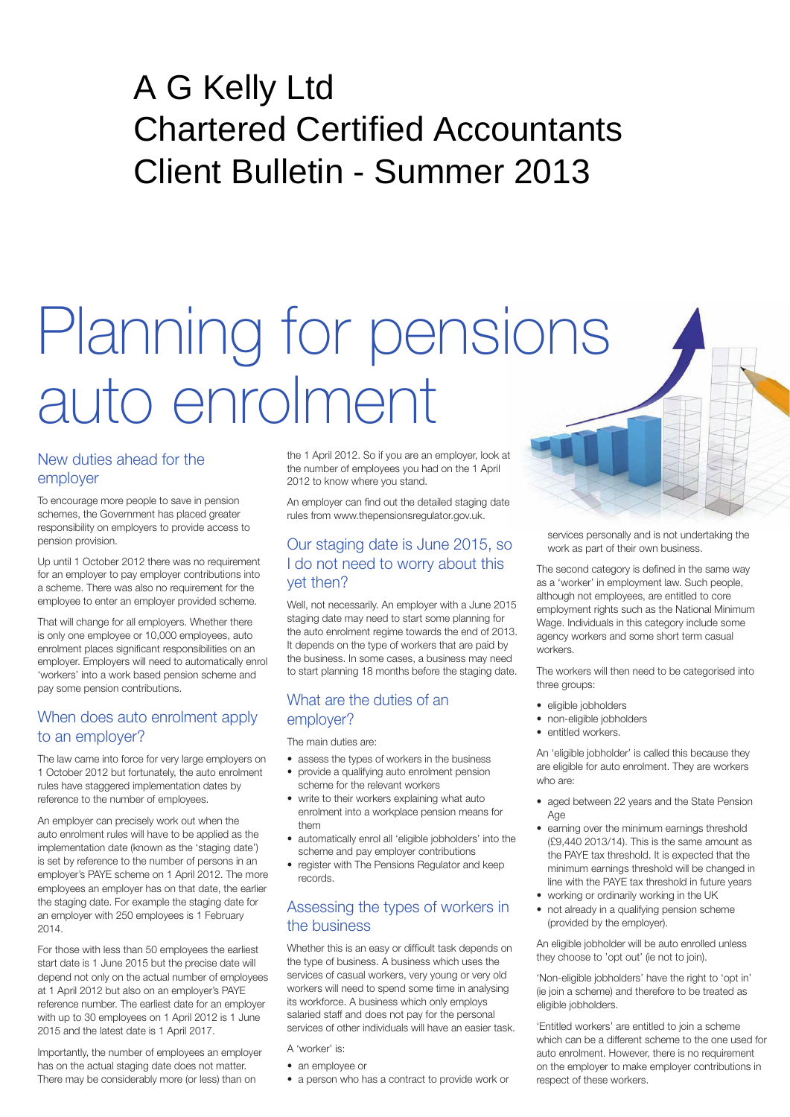# A G Kelly Ltd [Chartered Certified Accountants](http://) Client Bulletin - Summer 2013

# Planning for pensions auto enrolment

# New duties ahead for the employer

To encourage more people to save in pension schemes, the Government has placed greater responsibility on employers to provide access to pension provision.

Up until 1 October 2012 there was no requirement for an employer to pay employer contributions into a scheme. There was also no requirement for the employee to enter an employer provided scheme.

That will change for all employers. Whether there is only one employee or 10,000 employees, auto enrolment places significant responsibilities on an employer. Employers will need to automatically enrol 'workers' into a work based pension scheme and pay some pension contributions.

# When does auto enrolment apply to an employer?

The law came into force for very large employers on 1 October 2012 but fortunately, the auto enrolment rules have staggered implementation dates by reference to the number of employees.

An employer can precisely work out when the auto enrolment rules will have to be applied as the implementation date (known as the 'staging date') is set by reference to the number of persons in an employer's PAYE scheme on 1 April 2012. The more employees an employer has on that date, the earlier the staging date. For example the staging date for an employer with 250 employees is 1 February 2014.

For those with less than 50 employees the earliest start date is 1 June 2015 but the precise date will depend not only on the actual number of employees at 1 April 2012 but also on an employer's PAYE reference number. The earliest date for an employer with up to 30 employees on 1 April 2012 is 1 June 2015 and the latest date is 1 April 2017.

Importantly, the number of employees an employer has on the actual staging date does not matter. There may be considerably more (or less) than on

the 1 April 2012. So if you are an employer, look at the number of employees you had on the 1 April 2012 to know where you stand.

An employer can find out the detailed staging date rules from www.thepensionsregulator.gov.uk.

# Our staging date is June 2015, so I do not need to worry about this yet then?

Well, not necessarily. An employer with a June 2015 staging date may need to start some planning for the auto enrolment regime towards the end of 2013. It depends on the type of workers that are paid by the business. In some cases, a business may need to start planning 18 months before the staging date.

# What are the duties of an employer?

The main duties are:

- assess the types of workers in the business • provide a qualifying auto enrolment pension
- scheme for the relevant workers
- write to their workers explaining what auto enrolment into a workplace pension means for them
- • automatically enrol all 'eligible jobholders' into the scheme and pay employer contributions
- register with The Pensions Regulator and keep records.

# Assessing the types of workers in the business

Whether this is an easy or difficult task depends on the type of business. A business which uses the services of casual workers, very young or very old workers will need to spend some time in analysing its workforce. A business which only employs salaried staff and does not pay for the personal services of other individuals will have an easier task.

- A 'worker' is:
- an employee or
- a person who has a contract to provide work or

services personally and is not undertaking the work as part of their own business.

The second category is defined in the same way as a 'worker' in employment law. Such people, although not employees, are entitled to core employment rights such as the National Minimum Wage. Individuals in this category include some agency workers and some short term casual workers.

The workers will then need to be categorised into three groups:

- • eligible jobholders
- non-eligible jobholders
- entitled workers.

An 'eligible jobholder' is called this because they are eligible for auto enrolment. They are workers who are:

- aged between 22 years and the State Pension Age
- earning over the minimum earnings threshold (£9,440 2013/14). This is the same amount as the PAYE tax threshold. It is expected that the minimum earnings threshold will be changed in line with the PAYE tax threshold in future years
- working or ordinarily working in the UK
- not already in a qualifying pension scheme (provided by the employer).

An eligible jobholder will be auto enrolled unless they choose to 'opt out' (ie not to join).

'Non-eligible jobholders' have the right to 'opt in' (ie join a scheme) and therefore to be treated as eligible jobholders.

'Entitled workers' are entitled to join a scheme which can be a different scheme to the one used for auto enrolment. However, there is no requirement on the employer to make employer contributions in respect of these workers.